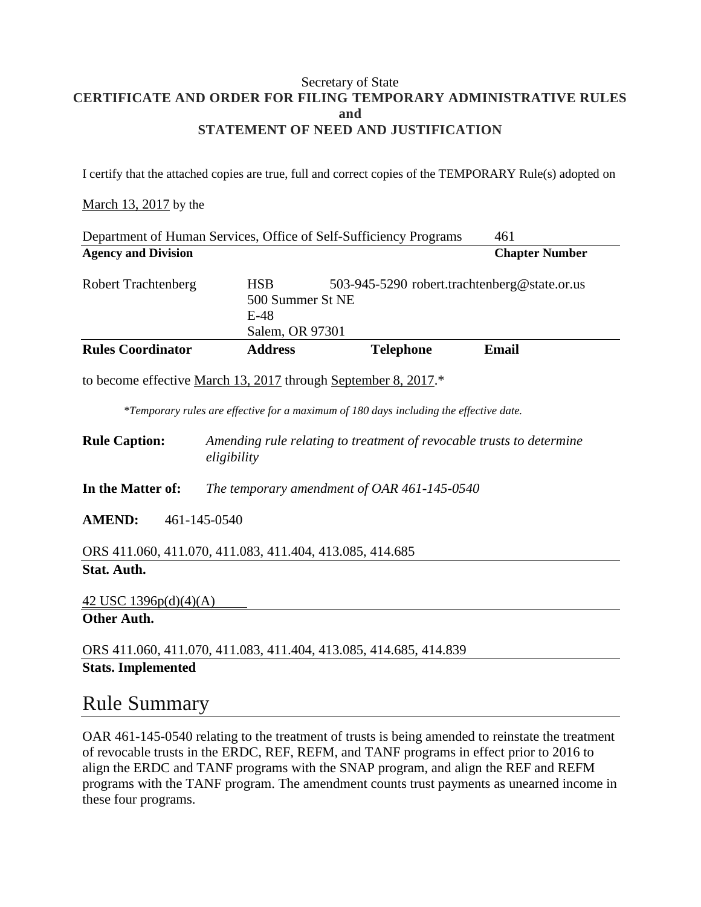### Secretary of State **CERTIFICATE AND ORDER FOR FILING TEMPORARY ADMINISTRATIVE RULES and STATEMENT OF NEED AND JUSTIFICATION**

I certify that the attached copies are true, full and correct copies of the TEMPORARY Rule(s) adopted on

#### March 13, 2017 by the

| Department of Human Services, Office of Self-Sufficiency Programs<br>461                                                                                 |                                                                                                             |                  |                       |
|----------------------------------------------------------------------------------------------------------------------------------------------------------|-------------------------------------------------------------------------------------------------------------|------------------|-----------------------|
| <b>Agency and Division</b>                                                                                                                               |                                                                                                             |                  | <b>Chapter Number</b> |
| <b>Robert Trachtenberg</b>                                                                                                                               | <b>HSB</b><br>503-945-5290 robert.trachtenberg@state.or.us<br>500 Summer St NE<br>$E-48$<br>Salem, OR 97301 |                  |                       |
| <b>Rules Coordinator</b>                                                                                                                                 | <b>Address</b>                                                                                              | <b>Telephone</b> | <b>Email</b>          |
| to become effective March 13, 2017 through September 8, 2017.*<br>*Temporary rules are effective for a maximum of 180 days including the effective date. |                                                                                                             |                  |                       |
| <b>Rule Caption:</b>                                                                                                                                     | Amending rule relating to treatment of revocable trusts to determine<br>eligibility                         |                  |                       |
| In the Matter of:                                                                                                                                        | The temporary amendment of OAR 461-145-0540                                                                 |                  |                       |
| <b>AMEND:</b><br>461-145-0540                                                                                                                            |                                                                                                             |                  |                       |
| ORS 411.060, 411.070, 411.083, 411.404, 413.085, 414.685                                                                                                 |                                                                                                             |                  |                       |
| Stat. Auth.                                                                                                                                              |                                                                                                             |                  |                       |

### 42 USC 1396p(d)(4)(A)

### **Other Auth.**

ORS 411.060, 411.070, 411.083, 411.404, 413.085, 414.685, 414.839 **Stats. Implemented**

## Rule Summary

OAR 461-145-0540 relating to the treatment of trusts is being amended to reinstate the treatment of revocable trusts in the ERDC, REF, REFM, and TANF programs in effect prior to 2016 to align the ERDC and TANF programs with the SNAP program, and align the REF and REFM programs with the TANF program. The amendment counts trust payments as unearned income in these four programs.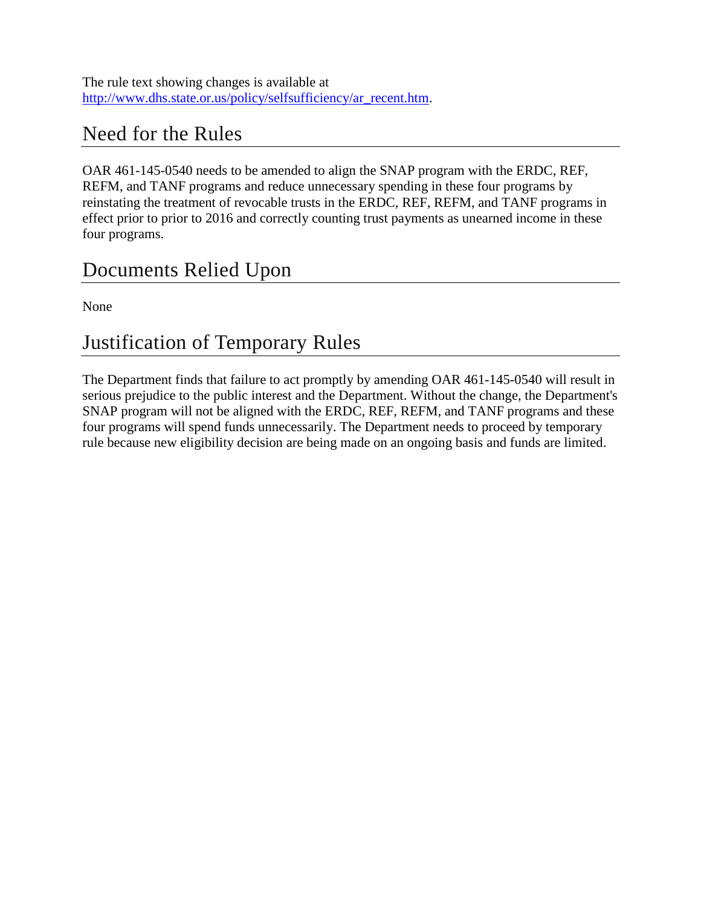# Need for the Rules

OAR 461-145-0540 needs to be amended to align the SNAP program with the ERDC, REF, REFM, and TANF programs and reduce unnecessary spending in these four programs by reinstating the treatment of revocable trusts in the ERDC, REF, REFM, and TANF programs in effect prior to prior to 2016 and correctly counting trust payments as unearned income in these four programs.

## Documents Relied Upon

None

## Justification of Temporary Rules

The Department finds that failure to act promptly by amending OAR 461-145-0540 will result in serious prejudice to the public interest and the Department. Without the change, the Department's SNAP program will not be aligned with the ERDC, REF, REFM, and TANF programs and these four programs will spend funds unnecessarily. The Department needs to proceed by temporary rule because new eligibility decision are being made on an ongoing basis and funds are limited.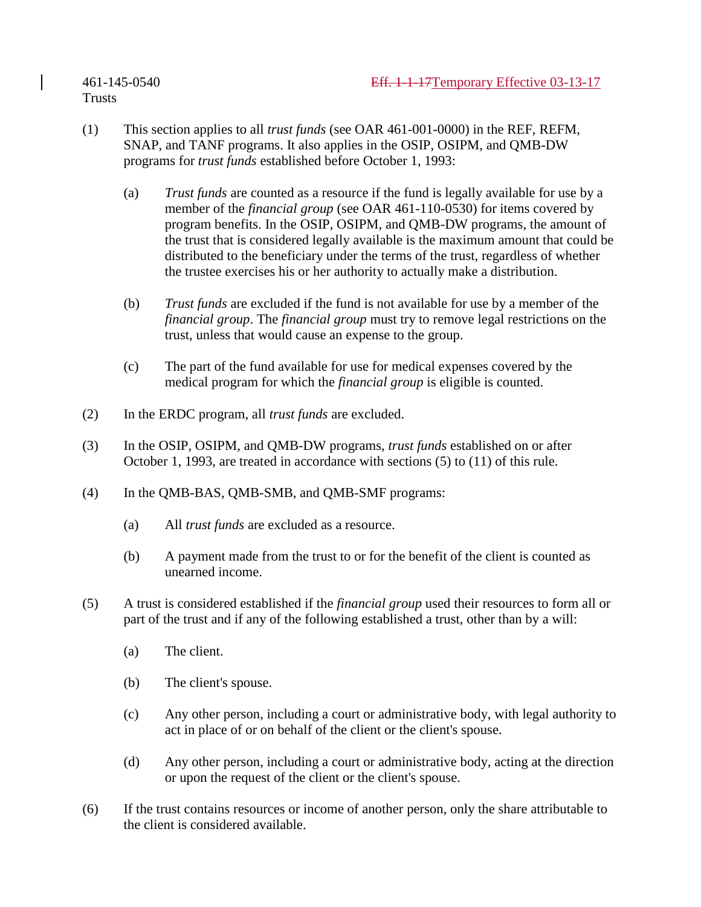**Trusts** 

- (1) This section applies to all *trust funds* (see OAR 461-001-0000) in the REF, REFM, SNAP, and TANF programs. It also applies in the OSIP, OSIPM, and QMB-DW programs for *trust funds* established before October 1, 1993:
	- (a) *Trust funds* are counted as a resource if the fund is legally available for use by a member of the *financial group* (see OAR 461-110-0530) for items covered by program benefits. In the OSIP, OSIPM, and QMB-DW programs, the amount of the trust that is considered legally available is the maximum amount that could be distributed to the beneficiary under the terms of the trust, regardless of whether the trustee exercises his or her authority to actually make a distribution.
	- (b) *Trust funds* are excluded if the fund is not available for use by a member of the *financial group*. The *financial group* must try to remove legal restrictions on the trust, unless that would cause an expense to the group.
	- (c) The part of the fund available for use for medical expenses covered by the medical program for which the *financial group* is eligible is counted.
- (2) In the ERDC program, all *trust funds* are excluded.
- (3) In the OSIP, OSIPM, and QMB-DW programs, *trust funds* established on or after October 1, 1993, are treated in accordance with sections (5) to (11) of this rule.
- (4) In the QMB-BAS, QMB-SMB, and QMB-SMF programs:
	- (a) All *trust funds* are excluded as a resource.
	- (b) A payment made from the trust to or for the benefit of the client is counted as unearned income.
- (5) A trust is considered established if the *financial group* used their resources to form all or part of the trust and if any of the following established a trust, other than by a will:
	- (a) The client.
	- (b) The client's spouse.
	- (c) Any other person, including a court or administrative body, with legal authority to act in place of or on behalf of the client or the client's spouse.
	- (d) Any other person, including a court or administrative body, acting at the direction or upon the request of the client or the client's spouse.
- (6) If the trust contains resources or income of another person, only the share attributable to the client is considered available.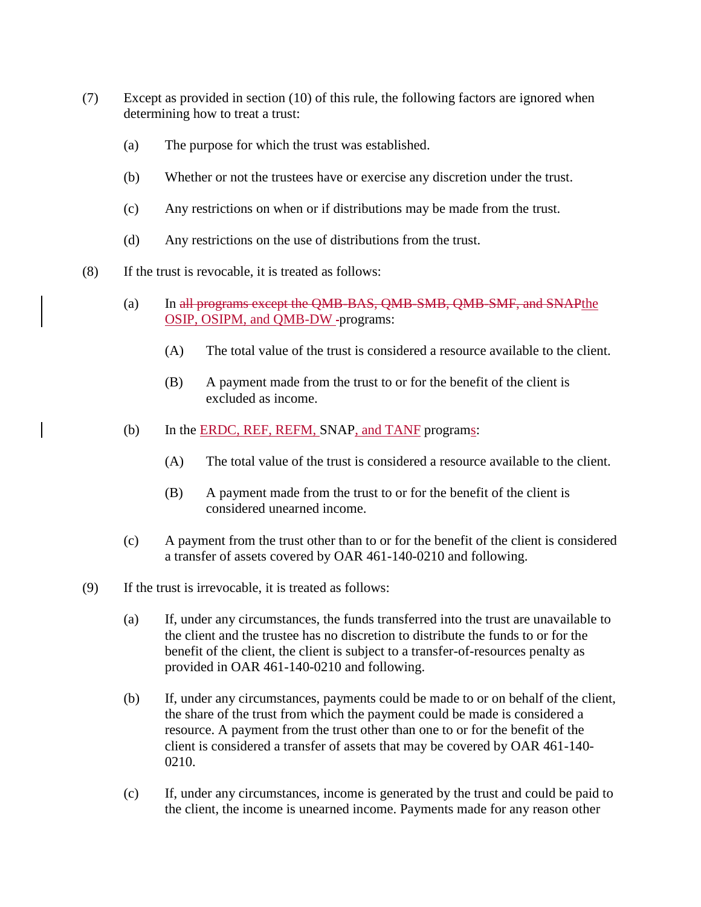- (7) Except as provided in section (10) of this rule, the following factors are ignored when determining how to treat a trust:
	- (a) The purpose for which the trust was established.
	- (b) Whether or not the trustees have or exercise any discretion under the trust.
	- (c) Any restrictions on when or if distributions may be made from the trust.
	- (d) Any restrictions on the use of distributions from the trust.
- (8) If the trust is revocable, it is treated as follows:
	- (a) In all programs except the QMB-BAS, QMB-SMB, QMB-SMF, and SNAPthe OSIP, OSIPM, and QMB-DW -programs:
		- (A) The total value of the trust is considered a resource available to the client.
		- (B) A payment made from the trust to or for the benefit of the client is excluded as income.
	- (b) In the ERDC, REF, REFM, SNAP, and TANF programs:
		- (A) The total value of the trust is considered a resource available to the client.
		- (B) A payment made from the trust to or for the benefit of the client is considered unearned income.
	- (c) A payment from the trust other than to or for the benefit of the client is considered a transfer of assets covered by OAR 461-140-0210 and following.
- (9) If the trust is irrevocable, it is treated as follows:
	- (a) If, under any circumstances, the funds transferred into the trust are unavailable to the client and the trustee has no discretion to distribute the funds to or for the benefit of the client, the client is subject to a transfer-of-resources penalty as provided in OAR 461-140-0210 and following.
	- (b) If, under any circumstances, payments could be made to or on behalf of the client, the share of the trust from which the payment could be made is considered a resource. A payment from the trust other than one to or for the benefit of the client is considered a transfer of assets that may be covered by OAR 461-140- 0210.
	- (c) If, under any circumstances, income is generated by the trust and could be paid to the client, the income is unearned income. Payments made for any reason other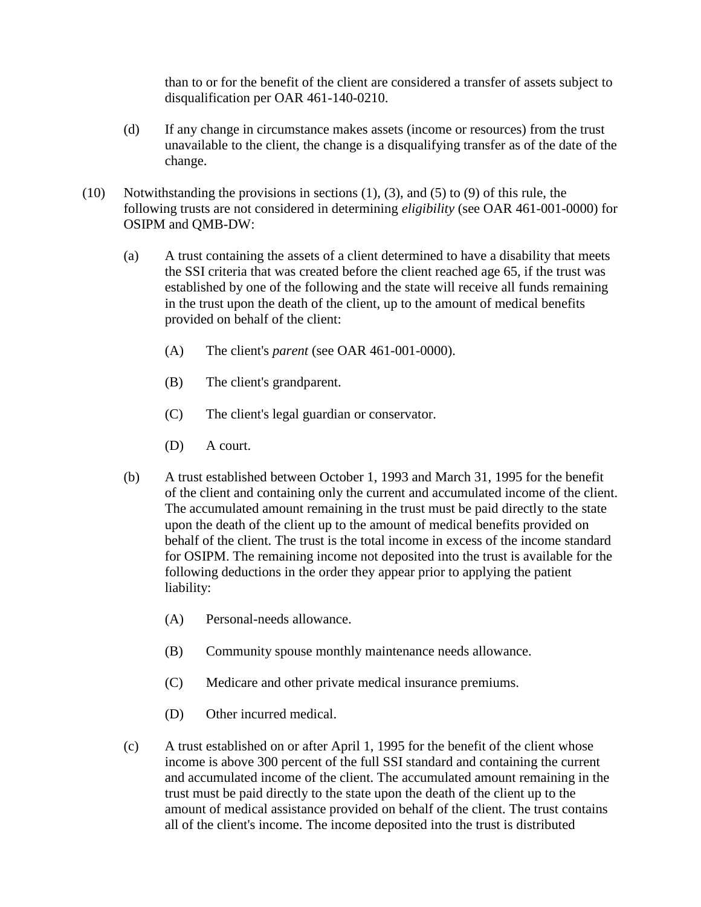than to or for the benefit of the client are considered a transfer of assets subject to disqualification per OAR 461-140-0210.

- (d) If any change in circumstance makes assets (income or resources) from the trust unavailable to the client, the change is a disqualifying transfer as of the date of the change.
- (10) Notwithstanding the provisions in sections (1), (3), and (5) to (9) of this rule, the following trusts are not considered in determining *eligibility* (see OAR 461-001-0000) for OSIPM and QMB-DW:
	- (a) A trust containing the assets of a client determined to have a disability that meets the SSI criteria that was created before the client reached age 65, if the trust was established by one of the following and the state will receive all funds remaining in the trust upon the death of the client, up to the amount of medical benefits provided on behalf of the client:
		- (A) The client's *parent* (see OAR 461-001-0000).
		- (B) The client's grandparent.
		- (C) The client's legal guardian or conservator.
		- (D) A court.
	- (b) A trust established between October 1, 1993 and March 31, 1995 for the benefit of the client and containing only the current and accumulated income of the client. The accumulated amount remaining in the trust must be paid directly to the state upon the death of the client up to the amount of medical benefits provided on behalf of the client. The trust is the total income in excess of the income standard for OSIPM. The remaining income not deposited into the trust is available for the following deductions in the order they appear prior to applying the patient liability:
		- (A) Personal-needs allowance.
		- (B) Community spouse monthly maintenance needs allowance.
		- (C) Medicare and other private medical insurance premiums.
		- (D) Other incurred medical.
	- (c) A trust established on or after April 1, 1995 for the benefit of the client whose income is above 300 percent of the full SSI standard and containing the current and accumulated income of the client. The accumulated amount remaining in the trust must be paid directly to the state upon the death of the client up to the amount of medical assistance provided on behalf of the client. The trust contains all of the client's income. The income deposited into the trust is distributed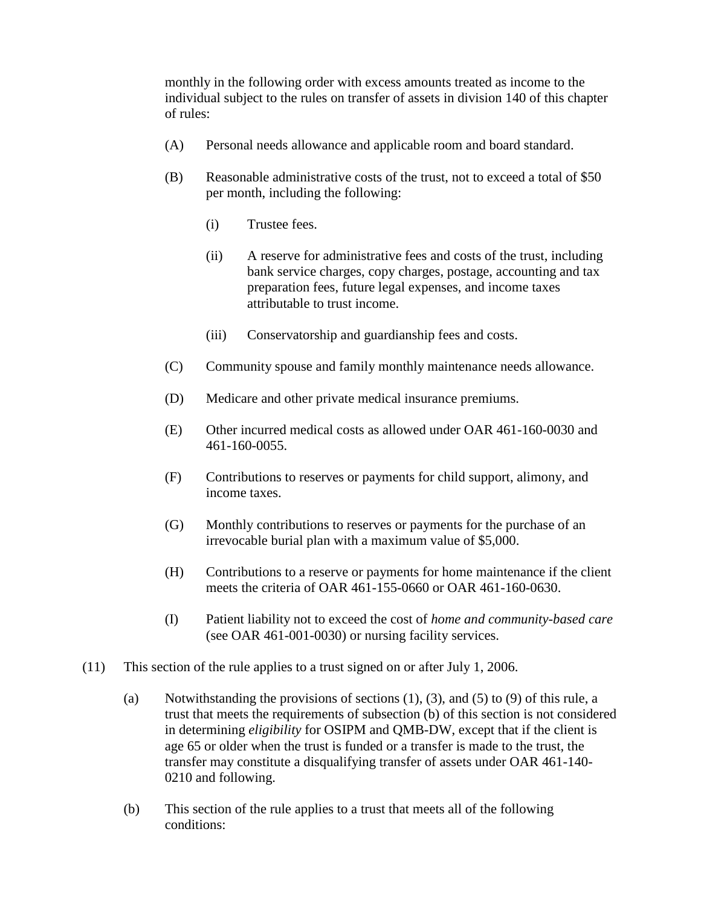monthly in the following order with excess amounts treated as income to the individual subject to the rules on transfer of assets in division 140 of this chapter of rules:

- (A) Personal needs allowance and applicable room and board standard.
- (B) Reasonable administrative costs of the trust, not to exceed a total of \$50 per month, including the following:
	- (i) Trustee fees.
	- (ii) A reserve for administrative fees and costs of the trust, including bank service charges, copy charges, postage, accounting and tax preparation fees, future legal expenses, and income taxes attributable to trust income.
	- (iii) Conservatorship and guardianship fees and costs.
- (C) Community spouse and family monthly maintenance needs allowance.
- (D) Medicare and other private medical insurance premiums.
- (E) Other incurred medical costs as allowed under OAR 461-160-0030 and 461-160-0055.
- (F) Contributions to reserves or payments for child support, alimony, and income taxes.
- (G) Monthly contributions to reserves or payments for the purchase of an irrevocable burial plan with a maximum value of \$5,000.
- (H) Contributions to a reserve or payments for home maintenance if the client meets the criteria of OAR 461-155-0660 or OAR 461-160-0630.
- (I) Patient liability not to exceed the cost of *home and community-based care* (see OAR 461-001-0030) or nursing facility services.
- (11) This section of the rule applies to a trust signed on or after July 1, 2006.
	- (a) Notwithstanding the provisions of sections  $(1)$ ,  $(3)$ , and  $(5)$  to  $(9)$  of this rule, a trust that meets the requirements of subsection (b) of this section is not considered in determining *eligibility* for OSIPM and QMB-DW, except that if the client is age 65 or older when the trust is funded or a transfer is made to the trust, the transfer may constitute a disqualifying transfer of assets under OAR 461-140- 0210 and following.
	- (b) This section of the rule applies to a trust that meets all of the following conditions: